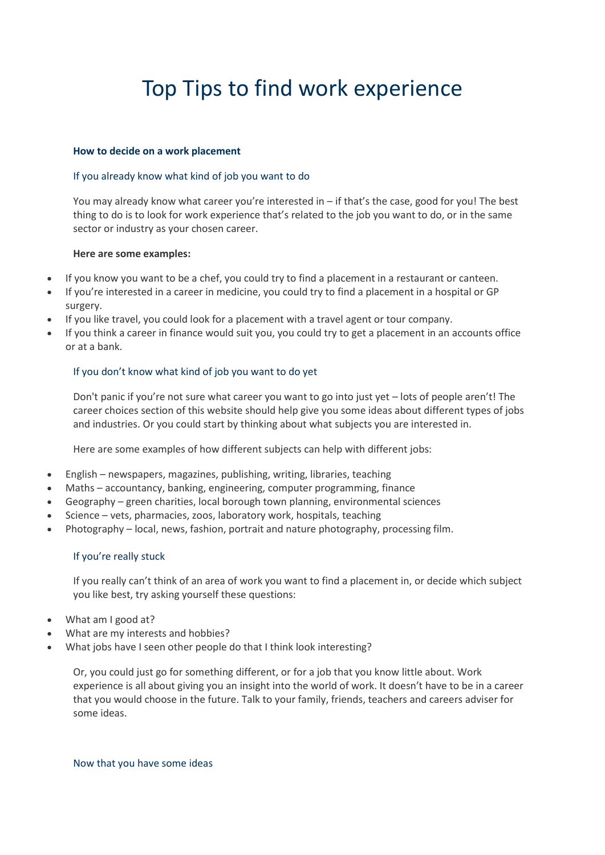# Top Tips to find work experience

#### **How to decide on a work placement**

#### If you already know what kind of job you want to do

You may already know what career you're interested in – if that's the case, good for you! The best thing to do is to look for work experience that's related to the job you want to do, or in the same sector or industry as your chosen career.

#### **Here are some examples:**

- If you know you want to be a chef, you could try to find a placement in a restaurant or canteen.
- If you're interested in a career in medicine, you could try to find a placement in a hospital or GP surgery.
- If you like travel, you could look for a placement with a travel agent or tour company.
- If you think a career in finance would suit you, you could try to get a placement in an accounts office or at a bank.

#### If you don't know what kind of job you want to do yet

Don't panic if you're not sure what career you want to go into just yet – lots of people aren't! The career choices section of this website should help give you some ideas about different types of jobs and industries. Or you could start by thinking about what subjects you are interested in.

Here are some examples of how different subjects can help with different jobs:

- English newspapers, magazines, publishing, writing, libraries, teaching
- Maths accountancy, banking, engineering, computer programming, finance
- Geography green charities, local borough town planning, environmental sciences
- Science vets, pharmacies, zoos, laboratory work, hospitals, teaching
- Photography local, news, fashion, portrait and nature photography, processing film.

## If you're really stuck

If you really can't think of an area of work you want to find a placement in, or decide which subject you like best, try asking yourself these questions:

- What am I good at?
- What are my interests and hobbies?
- What jobs have I seen other people do that I think look interesting?

Or, you could just go for something different, or for a job that you know little about. Work experience is all about giving you an insight into the world of work. It doesn't have to be in a career that you would choose in the future. Talk to your family, friends, teachers and careers adviser for some ideas.

Now that you have some ideas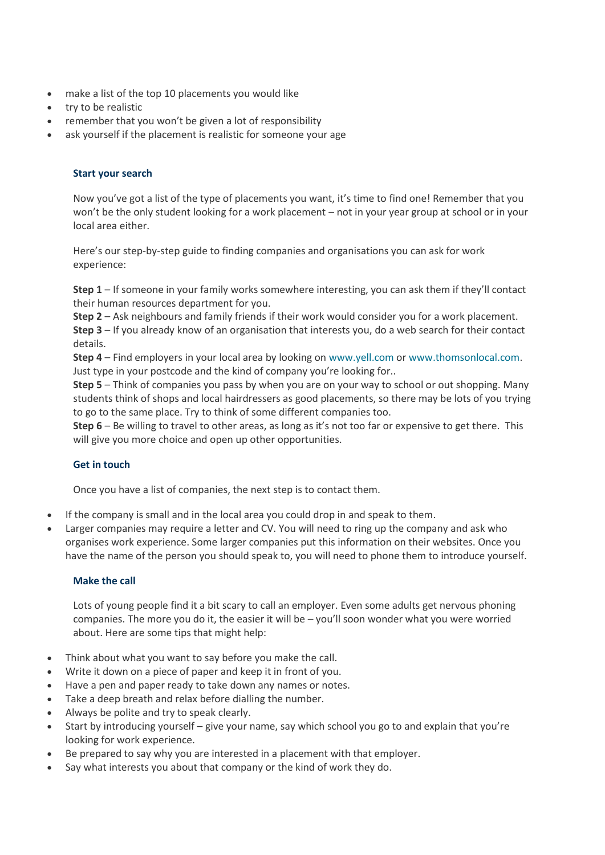- make a list of the top 10 placements you would like
- try to be realistic
- remember that you won't be given a lot of responsibility
- ask yourself if the placement is realistic for someone your age

## **Start your search**

Now you've got a list of the type of placements you want, it's time to find one! Remember that you won't be the only student looking for a work placement – not in your year group at school or in your local area either.

Here's our step-by-step guide to finding companies and organisations you can ask for work experience:

**Step 1** – If someone in your family works somewhere interesting, you can ask them if they'll contact their human resources department for you.

**Step 2** – Ask neighbours and family friends if their work would consider you for a work placement.

**Step 3** – If you already know of an organisation that interests you, do a web search for their contact details.

**Step 4** – Find employers in your local area by looking on [www.yell.com](https://www.yell.com/) or [www.thomsonlocal.com.](http://www.thomsonlocal.com/) Just type in your postcode and the kind of company you're looking for..

**Step 5** – Think of companies you pass by when you are on your way to school or out shopping. Many students think of shops and local hairdressers as good placements, so there may be lots of you trying to go to the same place. Try to think of some different companies too.

**Step 6** – Be willing to travel to other areas, as long as it's not too far or expensive to get there. This will give you more choice and open up other opportunities.

# **Get in touch**

Once you have a list of companies, the next step is to contact them.

- If the company is small and in the local area you could drop in and speak to them.
- Larger companies may require a letter and CV. You will need to ring up the company and ask who organises work experience. Some larger companies put this information on their websites. Once you have the name of the person you should speak to, you will need to phone them to introduce yourself.

## **Make the call**

Lots of young people find it a bit scary to call an employer. Even some adults get nervous phoning companies. The more you do it, the easier it will be – you'll soon wonder what you were worried about. Here are some tips that might help:

- Think about what you want to say before you make the call.
- Write it down on a piece of paper and keep it in front of you.
- Have a pen and paper ready to take down any names or notes.
- Take a deep breath and relax before dialling the number.
- Always be polite and try to speak clearly.
- Start by introducing yourself give your name, say which school you go to and explain that you're looking for work experience.
- Be prepared to say why you are interested in a placement with that employer.
- Say what interests you about that company or the kind of work they do.